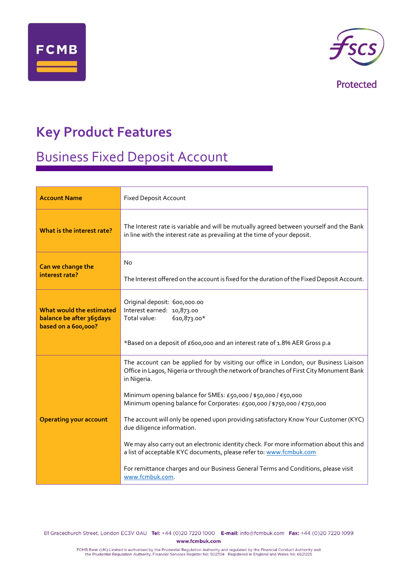



Protected

### **Key Product Features**

# Business Fixed Deposit Account

| <b>Account Name</b>                                                         | <b>Fixed Deposit Account</b>                                                                                                                                                                                                                                                                                                                                                                                                                                                                                                                                                                                                                                                                                                                  |
|-----------------------------------------------------------------------------|-----------------------------------------------------------------------------------------------------------------------------------------------------------------------------------------------------------------------------------------------------------------------------------------------------------------------------------------------------------------------------------------------------------------------------------------------------------------------------------------------------------------------------------------------------------------------------------------------------------------------------------------------------------------------------------------------------------------------------------------------|
| What is the interest rate?                                                  | The Interest rate is variable and will be mutually agreed between yourself and the Bank<br>in line with the interest rate as prevailing at the time of your deposit.                                                                                                                                                                                                                                                                                                                                                                                                                                                                                                                                                                          |
| Can we change the<br>interest rate?                                         | <b>No</b><br>The Interest offered on the account is fixed for the duration of the Fixed Deposit Account.                                                                                                                                                                                                                                                                                                                                                                                                                                                                                                                                                                                                                                      |
| What would the estimated<br>balance be after 365days<br>based on a 600,000? | Original deposit: 600,000.00<br>Interest earned: 10,873.00<br>Total value:<br>610,873.00*<br>*Based on a deposit of £600,000 and an interest rate of 1.8% AER Gross p.a                                                                                                                                                                                                                                                                                                                                                                                                                                                                                                                                                                       |
| <b>Operating your account</b>                                               | The account can be applied for by visiting our office in London, our Business Liaison<br>Office in Lagos, Nigeria or through the network of branches of First City Monument Bank<br>in Nigeria.<br>Minimum opening balance for SMEs: £50,000 / \$50,000 / €50,000<br>Minimum opening balance for Corporates: £500,000 / \$750,000 / €750,000<br>The account will only be opened upon providing satisfactory Know Your Customer (KYC)<br>due diligence information.<br>We may also carry out an electronic identity check. For more information about this and<br>a list of acceptable KYC documents, please refer to: www.fcmbuk.com<br>For remittance charges and our Business General Terms and Conditions, please visit<br>www.fcmbuk.com. |

81 Gracechurch Street, London EC3V 0AU Tel: +44 (0)20 7220 1000 E-mail: info@fcmbuk.com Fax: +44 (0)20 7220 1099 www.fcmbuk.com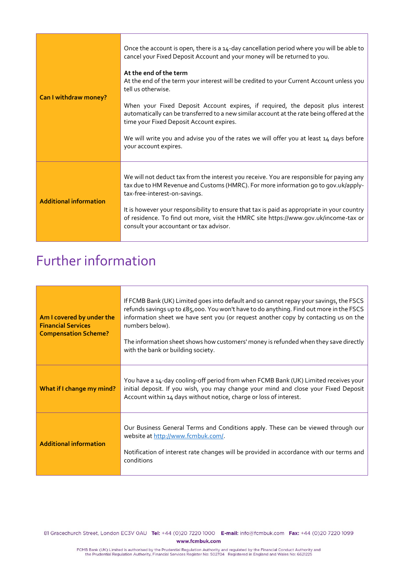| Can I withdraw money?         | Once the account is open, there is a 14-day cancellation period where you will be able to<br>cancel your Fixed Deposit Account and your money will be returned to you.<br>At the end of the term<br>At the end of the term your interest will be credited to your Current Account unless you<br>tell us otherwise.<br>When your Fixed Deposit Account expires, if required, the deposit plus interest<br>automatically can be transferred to a new similar account at the rate being offered at the<br>time your Fixed Deposit Account expires.<br>We will write you and advise you of the rates we will offer you at least 14 days before<br>your account expires. |
|-------------------------------|---------------------------------------------------------------------------------------------------------------------------------------------------------------------------------------------------------------------------------------------------------------------------------------------------------------------------------------------------------------------------------------------------------------------------------------------------------------------------------------------------------------------------------------------------------------------------------------------------------------------------------------------------------------------|
| <b>Additional information</b> | We will not deduct tax from the interest you receive. You are responsible for paying any<br>tax due to HM Revenue and Customs (HMRC). For more information go to gov.uk/apply-<br>tax-free-interest-on-savings.<br>It is however your responsibility to ensure that tax is paid as appropriate in your country<br>of residence. To find out more, visit the HMRC site https://www.qov.uk/income-tax or<br>consult your accountant or tax advisor.                                                                                                                                                                                                                   |

## Further information

| Am I covered by under the<br><b>Financial Services</b><br><b>Compensation Scheme?</b> | If FCMB Bank (UK) Limited goes into default and so cannot repay your savings, the FSCS<br>refunds savings up to £85,000. You won't have to do anything. Find out more in the FSCS<br>information sheet we have sent you (or request another copy by contacting us on the<br>numbers below).<br>The information sheet shows how customers' money is refunded when they save directly<br>with the bank or building society. |
|---------------------------------------------------------------------------------------|---------------------------------------------------------------------------------------------------------------------------------------------------------------------------------------------------------------------------------------------------------------------------------------------------------------------------------------------------------------------------------------------------------------------------|
| What if I change my mind?                                                             | You have a 14-day cooling-off period from when FCMB Bank (UK) Limited receives your<br>initial deposit. If you wish, you may change your mind and close your Fixed Deposit<br>Account within 14 days without notice, charge or loss of interest.                                                                                                                                                                          |
| <b>Additional information</b>                                                         | Our Business General Terms and Conditions apply. These can be viewed through our<br>website at http://www.fcmbuk.com/.<br>Notification of interest rate changes will be provided in accordance with our terms and<br>conditions                                                                                                                                                                                           |

81 Gracechurch Street, London EC3V 0AU Tel: +44 (0)20 7220 1000 E-mail: info@fcmbuk.com Fax: +44 (0)20 7220 1099 www.fcmbuk.com